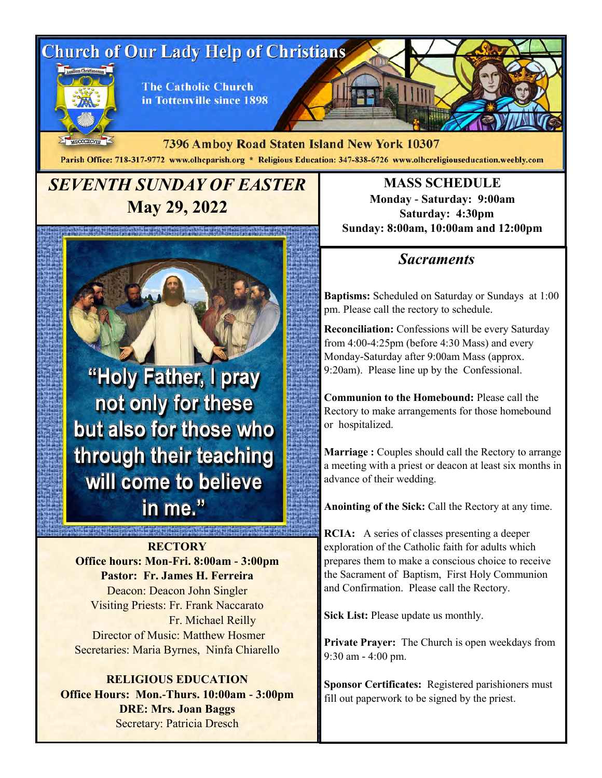# **Church of Our Lady Help of Christians**



**The Catholic Church** in Tottenville since 1898

MDCCCXCVIII 7396 Amboy Road Staten Island New York 10307 Parish Office: 718-317-9772 www.olhcparish.org \* Religious Education: 347-838-6726 www.olhcreligiouseducation.weebly.com

# *SEVENTH SUNDAY OF EASTER*  **May 29, 2022**

"Holy Father, I pray not only for these but also for those who through their teaching will come to believe in me."

**RECTORY Office hours: Mon-Fri. 8:00am - 3:00pm Pastor: Fr. James H. Ferreira** Deacon: Deacon John Singler Visiting Priests: Fr. Frank Naccarato Fr. Michael Reilly Director of Music: Matthew Hosmer Secretaries: Maria Byrnes, Ninfa Chiarello

**RELIGIOUS EDUCATION Office Hours: Mon.-Thurs. 10:00am - 3:00pm DRE: Mrs. Joan Baggs** Secretary: Patricia Dresch

**MASS SCHEDULE Monday - Saturday: 9:00am Saturday: 4:30pm Sunday: 8:00am, 10:00am and 12:00pm**

## *Sacraments*

**Baptisms:** Scheduled on Saturday or Sundays at 1:00 pm. Please call the rectory to schedule.

**Reconciliation:** Confessions will be every Saturday from 4:00-4:25pm (before 4:30 Mass) and every Monday-Saturday after 9:00am Mass (approx. 9:20am). Please line up by the Confessional.

**Communion to the Homebound:** Please call the Rectory to make arrangements for those homebound or hospitalized.

**Marriage :** Couples should call the Rectory to arrange a meeting with a priest or deacon at least six months in advance of their wedding.

**Anointing of the Sick:** Call the Rectory at any time.

**RCIA:** A series of classes presenting a deeper exploration of the Catholic faith for adults which prepares them to make a conscious choice to receive the Sacrament of Baptism, First Holy Communion and Confirmation. Please call the Rectory.

**Sick List:** Please update us monthly.

**Private Prayer:** The Church is open weekdays from 9:30 am - 4:00 pm.

**Sponsor Certificates:** Registered parishioners must fill out paperwork to be signed by the priest.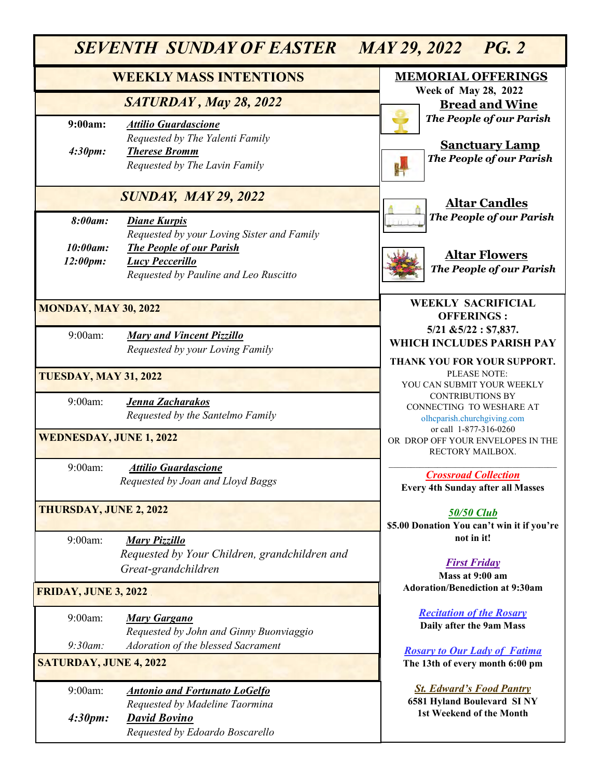| <b>SEVENTH SUNDAY OF EASTER</b><br>MAY 29, 2022 PG. 2 |                                                                                                                                                                         |                                                                                           |
|-------------------------------------------------------|-------------------------------------------------------------------------------------------------------------------------------------------------------------------------|-------------------------------------------------------------------------------------------|
| <b>WEEKLY MASS INTENTIONS</b>                         |                                                                                                                                                                         | <b>MEMORIAL OFFERINGS</b><br><b>Week of May 28, 2022</b>                                  |
|                                                       | SATURDAY, May 28, 2022                                                                                                                                                  | <b>Bread and Wine</b>                                                                     |
| 9:00am:<br>4:30pm:                                    | <b>Attilio Guardascione</b><br>Requested by The Yalenti Family<br><b>Therese Bromm</b><br>Requested by The Lavin Family                                                 | The People of our Parish<br><b>Sanctuary Lamp</b><br><b>The People of our Parish</b>      |
| <b>SUNDAY, MAY 29, 2022</b>                           |                                                                                                                                                                         | <b>Altar Candles</b>                                                                      |
| 8:00am:<br>$10:00$ am:<br>12:00pm:                    | <b>Diane Kurpis</b><br>Requested by your Loving Sister and Family<br><b>The People of our Parish</b><br><b>Lucy Peccerillo</b><br>Requested by Pauline and Leo Ruscitto | The People of our Parish<br><b>Altar Flowers</b><br>The People of our Parish              |
| <b>MONDAY, MAY 30, 2022</b>                           |                                                                                                                                                                         | <b>WEEKLY SACRIFICIAL</b><br><b>OFFERINGS:</b>                                            |
| 9:00am:                                               | <b>Mary and Vincent Pizzillo</b><br>Requested by your Loving Family                                                                                                     | $5/21$ & $5/22$ : \$7,837.<br>WHICH INCLUDES PARISH PAY<br>THANK YOU FOR YOUR SUPPORT.    |
| <b>TUESDAY, MAY 31, 2022</b>                          |                                                                                                                                                                         | PLEASE NOTE:<br>YOU CAN SUBMIT YOUR WEEKLY                                                |
| 9:00am:                                               | Jenna Zacharakos<br>Requested by the Santelmo Family                                                                                                                    | <b>CONTRIBUTIONS BY</b><br>CONNECTING TO WESHARE AT<br>olhcparish.churchgiving.com        |
| <b>WEDNESDAY, JUNE 1, 2022</b>                        |                                                                                                                                                                         | or call 1-877-316-0260<br>OR DROP OFF YOUR ENVELOPES IN THE<br>RECTORY MAILBOX.           |
| 9:00am:                                               | <b>Attilio Guardascione</b><br>Requested by Joan and Lloyd Baggs                                                                                                        | <b>Crossroad Collection</b><br><b>Every 4th Sunday after all Masses</b>                   |
| <b>THURSDAY, JUNE 2, 2022</b>                         |                                                                                                                                                                         | <b>50/50 Club</b><br>\$5.00 Donation You can't win it if you're                           |
| $9:00am$ :                                            | <b>Mary Pizzillo</b><br>Requested by Your Children, grandchildren and<br>Great-grandchildren                                                                            | not in it!<br><b>First Friday</b><br>Mass at 9:00 am                                      |
| <b>FRIDAY, JUNE 3, 2022</b>                           |                                                                                                                                                                         | <b>Adoration/Benediction at 9:30am</b>                                                    |
| 9:00am:                                               | <b>Mary Gargano</b><br>Requested by John and Ginny Buonviaggio                                                                                                          | <b>Recitation of the Rosary</b><br>Daily after the 9am Mass                               |
| $9:30$ am:<br><b>SATURDAY, JUNE 4, 2022</b>           | Adoration of the blessed Sacrament                                                                                                                                      | <b>Rosary to Our Lady of Fatima</b><br>The 13th of every month 6:00 pm                    |
| 9:00am:                                               | <b>Antonio and Fortunato LoGelfo</b><br>Requested by Madeline Taormina                                                                                                  | <b>St. Edward's Food Pantry</b><br>6581 Hyland Boulevard SINY<br>1st Weekend of the Month |
| 4:30pm:                                               | <b>David Bovino</b><br>Requested by Edoardo Boscarello                                                                                                                  |                                                                                           |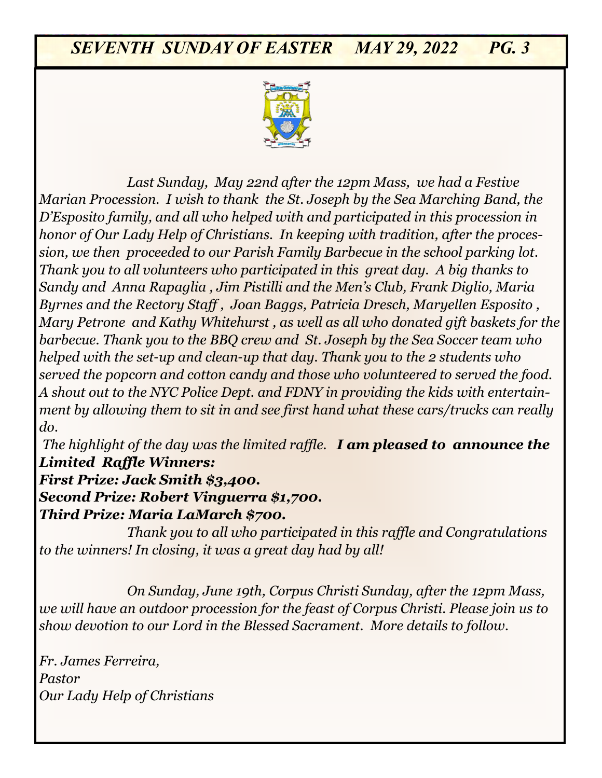

9:00am: *Concetta DiCesare, Lidia and Domenico Olivo honor of Our Lady Help of Christians. In keeping with tradition, after the proces-Requested by Olivo and Fiorica Families sion, we then proceeded to our Parish Family Barbecue in the school parking lot. Last Sunday, May 22nd after the 12pm Mass, we had a Festive Marian Procession. I wish to thank the St. Joseph by the Sea Marching Band, the D'Esposito family, and all who helped with and participated in this procession in Thank you to all volunteers who participated in this great day. A big thanks to Sandy and Anna Rapaglia , Jim Pistilli and the Men's Club, Frank Diglio, Maria Byrnes and the Rectory Staff , Joan Baggs, Patricia Dresch, Maryellen Esposito , Mary Petrone and Kathy Whitehurst , as well as all who donated gift baskets for the barbecue. Thank you to the BBQ crew and St. Joseph by the Sea Soccer team who helped with the set-up and clean-up that day. Thank you to the 2 students who served the popcorn and cotton candy and those who volunteered to served the food. A shout out to the NYC Police Dept. and FDNY in providing the kids with entertainment by allowing them to sit in and see first hand what these cars/trucks can really do.* 

*The highlight of the day was the limited raffle. I am pleased to announce the Limited Raffle Winners:* 

*First Prize: Jack Smith \$3,400. Second Prize: Robert Vinguerra \$1,700. Third Prize: Maria LaMarch \$700.* 

*Thank you to all who participated in this raffle and Congratulations to the winners! In closing, it was a great day had by all!*

*On Sunday, June 19th, Corpus Christi Sunday, after the 12pm Mass, we will have an outdoor procession for the feast of Corpus Christi. Please join us to show devotion to our Lord in the Blessed Sacrament. More details to follow.* 

*Fr. James Ferreira, Pastor Our Lady Help of Christians*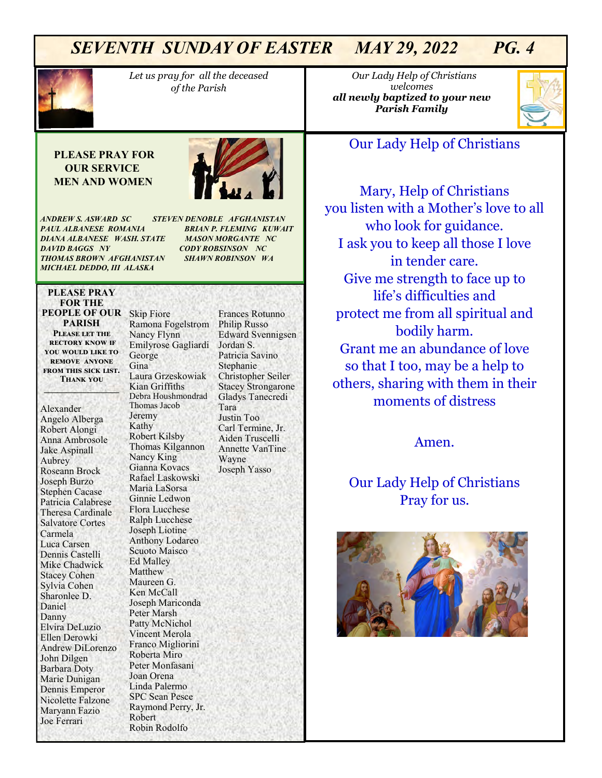

*Let us pray for all the deceased of the Parish* 

#### **PLEASE PRAY FOR OUR SERVICE MEN AND WOMEN**



*ANDREW S. ASWARD SC STEVEN DENOBLE AFGHANISTAN PAUL ALBANESE ROMANIA BRIAN P. FLEMING KUWAIT DIANA ALBANESE WASH. STATE MASON MORGANTE NC DAVID BAGGS NY CODY ROBSINSON NC THOMAS BROWN AFGHANISTAN SHAWN ROBINSON WA MICHAEL DEDDO, III ALASKA* 

#### **PLEASE PRAY FOR THE PEOPLE OF OUR**  Skip Fiore **PARISH Please let the rectory know if**

**you would like to remove anyone from this sick list. Thank you \_\_\_\_\_\_\_\_\_\_\_\_\_\_\_\_\_**

Alexander Angelo Alberga Robert Alongi Anna Ambrosole Jake Aspinall Aubrey Roseann Brock Joseph Burzo Stephen Cacase Patricia Calabrese Theresa Cardinale Salvatore Cortes Carmela Luca Carsen Dennis Castelli Mike Chadwick Stacey Cohen Sylvia Cohen Sharonlee D. Daniel Danny Elvira DeLuzio Ellen Derowki Andrew DiLorenzo John Dilgen Barbara Doty Marie Dunigan Dennis Emperor Nicolette Falzone Maryann Fazio Joe Ferrari

Ramona Fogelstrom Nancy Flynn Emilyrose Gagliardi George Gina Laura Grzeskowiak Kian Griffiths Debra Houshmondrad Thomas Jacob Jeremy Kathy Robert Kilsby Thomas Kilgannon Nancy King Gianna Kovacs Rafael Laskowski Maria LaSorsa Ginnie Ledwon Flora Lucchese Ralph Lucchese Joseph Liotine Anthony Lodareo Scuoto Maisco Ed Malley Matthew Maureen G. Ken McCall Joseph Mariconda Peter Marsh Patty McNichol Vincent Merola Franco Migliorini Roberta Miro Peter Monfasani Joan Orena Linda Palermo SPC Sean Pesce Raymond Perry, Jr. Robert Robin Rodolfo

Frances Rotunno Philip Russo Edward Svennigsen Jordan S. Patricia Savino Stephanie Christopher Seiler Stacey Strongarone Gladys Tanecredi Tara Justin Too Carl Termine, Jr. Aiden Truscelli Annette VanTine Wayne Joseph Yasso

 *Our Lady Help of Christians welcomes all newly baptized to your new Parish Family* 



### Our Lady Help of Christians

Mary, Help of Christians you listen with a Mother's love to all who look for guidance. I ask you to keep all those I love in tender care. Give me strength to face up to life's difficulties and protect me from all spiritual and bodily harm. Grant me an abundance of love so that I too, may be a help to others, sharing with them in their moments of distress

Amen.

## Our Lady Help of Christians Pray for us.

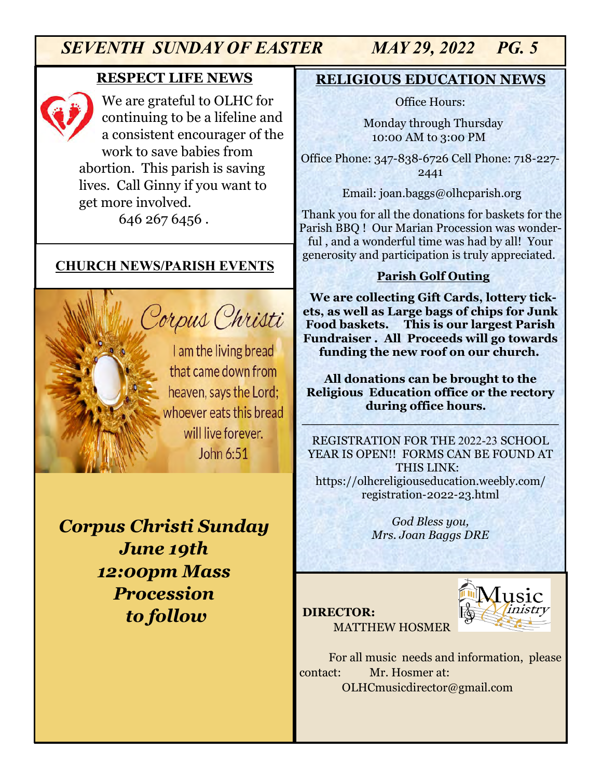## **RESPECT LIFE NEWS**

We are grateful to OLHC for continuing to be a lifeline and a consistent encourager of the work to save babies from abortion. This parish is saving lives. Call Ginny if you want to get more involved. 646 267 6456 .

## **CHURCH NEWS/PARISH EVENTS**

I am the living bread that came down from heaven, says the Lord; whoever eats this bread will live forever. John 6:51

Corpus Christi

*Corpus Christi Sunday June 19th 12:00pm Mass Procession to follow*

## **RELIGIOUS EDUCATION NEWS**

Office Hours:

Monday through Thursday 10:00 AM to 3:00 PM

Office Phone: 347-838-6726 Cell Phone: 718-227- 2441

Email: joan.baggs@olhcparish.org

Thank you for all the donations for baskets for the Parish BBQ ! Our Marian Procession was wonderful , and a wonderful time was had by all! Your generosity and participation is truly appreciated.

### **Parish Golf Outing**

**We are collecting Gift Cards, lottery tickets, as well as Large bags of chips for Junk Food baskets. This is our largest Parish Fundraiser . All Proceeds will go towards funding the new roof on our church.**

**All donations can be brought to the Religious Education office or the rectory during office hours.**

**\_\_\_\_\_\_\_\_\_\_\_\_\_\_\_\_\_\_\_\_\_\_\_\_\_\_\_\_\_\_\_**

REGISTRATION FOR THE 2022-23 SCHOOL YEAR IS OPEN!! FORMS CAN BE FOUND AT THIS LINK: https://olhcreligiouseducation.weebly.com/ registration-2022-23.html

> *God Bless you, Mrs. Joan Baggs DRE*

#### **DIRECTOR:**



MATTHEW HOSMER

For all music needs and information, please contact: Mr. Hosmer at: OLHCmusicdirector@gmail.com